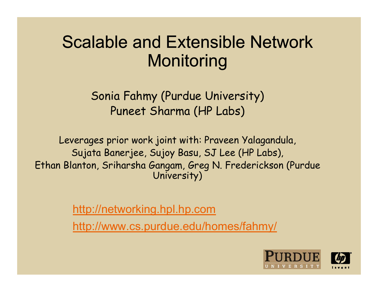#### Scalable and Extensible Network **Monitoring**

Sonia Fahmy (Purdue University) Puneet Sharma (HP Labs)

Leverages prior work joint with: Praveen Yalagandula, Sujata Banerjee, Sujoy Basu, SJ Lee (HP Labs), Ethan Blanton, Sriharsha Gangam, Greg N. Frederickson (Purdue University)

http://networking.hpl.hp.com

http://www.cs.purdue.edu/homes/fahmy/

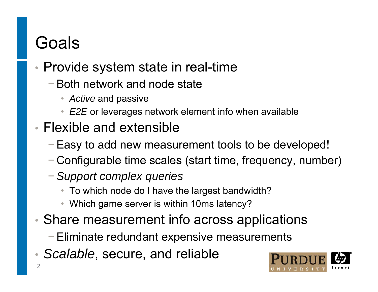## Goals

- • Provide system state in real-time
	- −Both network and node state
		- *Active* and passive
		- *E2E* or leverages network element info when available
- Flexible and extensible
	- <sup>−</sup>Easy to add new measurement tools to be developed!
	- − Configurable time scales (start time, frequency, number)
	- <sup>−</sup>*Support complex queries*
		- To which node do I have the largest bandwidth?
		- Which game server is within 10ms latency?
- $\bullet$  Share measurement info across applications
	- − Eliminate redundant expensive measurements
- •*Scalable*, secure, and reliable

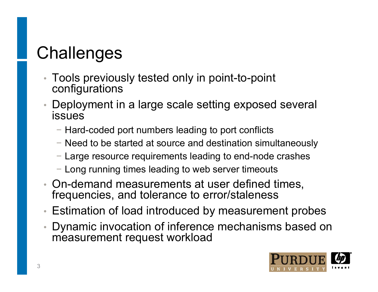# **Challenges**

- • Tools previously tested only in point-to-point configurations
- • Deployment in a large scale setting exposed several issues
	- − Hard-coded port numbers leading to port conflicts
	- − Need to be started at source and destination simultaneously
	- − Large resource requirements leading to end-node crashes
	- − Long running times leading to web server timeouts
- On-demand measurements at user defined times, frequencies, and tolerance to error/staleness
- •Estimation of load introduced by measurement probes
- • Dynamic invocation of inference mechanisms based on measurement request workload

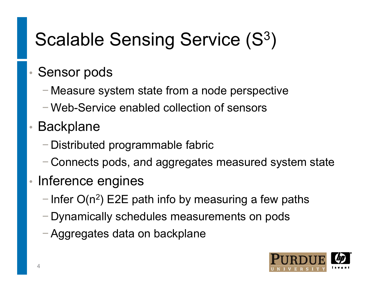#### Scalable Sensing Service (S $3$ )

#### •Sensor pods

- −Measure system state from a node perspective
- − Web-Service enabled collection of sensors
- • Backplane
	- − Distributed programmable fabric
	- $-$  Connects pods, and aggregates measured system state
- •• Inference engines
	- − Infer O(n<sup>2</sup>) E2E path info by measuring a few paths
	- − Dynamically schedules measurements on pods
	- −Aggregates data on backplane

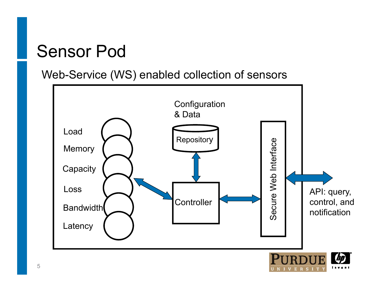### Sensor Pod

Web-Service (WS) enabled collection of sensors

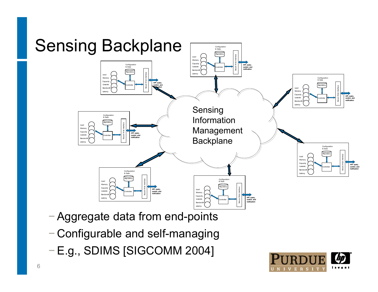

- <sup>−</sup>Aggregate data from end-points
- −Configurable and self-managing
- −E.g., SDIMS [SIGCOMM 2004]

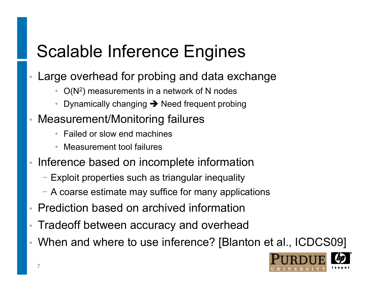## Scalable Inference Engines

- $\bullet$  Large overhead for probing and data exchange
	- $O(N^2)$  measurements in a network of N nodes
	- •● Dynamically changing → Need frequent probing
- • Measurement/Monitoring failures
	- Failed or slow end machines
	- •Measurement tool failures
- • $\cdot$  Inference based on incomplete information
	- − Exploit properties such as triangular inequality
	- − A coarse estimate may suffice for many applications
- Prediction based on archived information
- $\bullet$ Tradeoff between accuracy and overhead
- When and where to use inference? [Blanton et al., ICDCS09]

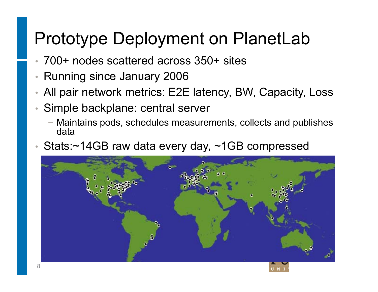### Prototype Deployment on PlanetLab

- •700+ nodes scattered across 350+ sites
- •Running since January 2006
- •All pair network metrics: E2E latency, BW, Capacity, Loss
- • Simple backplane: central server
	- − Maintains pods, schedules measurements, collects and publishes data
- •Stats:~14GB raw data every day, ~1GB compressed

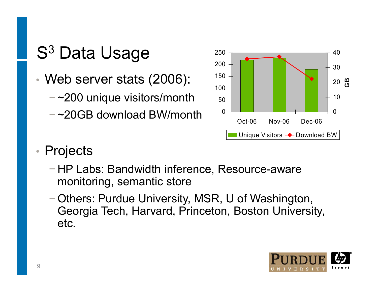- •• Web server stats (2006):  $150$ 
	- − ~200 unique visitors/month
	- $-$  ~20GB download BW/month  $^{\rm -}$   $^{\rm 0}$



#### $\bullet$ **Projects**

- − HP Labs: Bandwidth inference, Resource-aware monitoring, semantic store
- − Others: Purdue University, MSR, U of Washington, Georgia Tech, Harvard, Princeton, Boston University, etc.

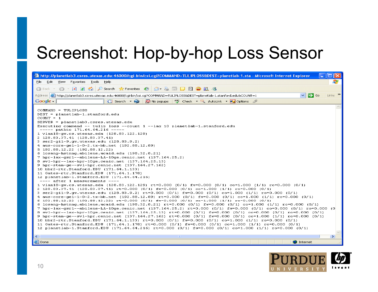#### Screenshot: Hop-by-hop Loss Sensor

| http://planetlab3.csres.utexas.edu:46000/cgi-bin/csi.cgi?COMMAND=TULIPLOSS&DEST=planetlab-1.sta - Microsoft Internet Explorer                                                                                                                                                                                                                                                                                                                                                                                                                                                                                                                                                                                                                                                                                                                                                                                                                                                                                                                                                                                                                                                                                                                                                                                                                                                                                                                                                                                                                                                                                                                                                                                                                                                                                                                                                                                                                                                                                                                                                                                                                                                               |  |  |  |  |  |  |
|---------------------------------------------------------------------------------------------------------------------------------------------------------------------------------------------------------------------------------------------------------------------------------------------------------------------------------------------------------------------------------------------------------------------------------------------------------------------------------------------------------------------------------------------------------------------------------------------------------------------------------------------------------------------------------------------------------------------------------------------------------------------------------------------------------------------------------------------------------------------------------------------------------------------------------------------------------------------------------------------------------------------------------------------------------------------------------------------------------------------------------------------------------------------------------------------------------------------------------------------------------------------------------------------------------------------------------------------------------------------------------------------------------------------------------------------------------------------------------------------------------------------------------------------------------------------------------------------------------------------------------------------------------------------------------------------------------------------------------------------------------------------------------------------------------------------------------------------------------------------------------------------------------------------------------------------------------------------------------------------------------------------------------------------------------------------------------------------------------------------------------------------------------------------------------------------|--|--|--|--|--|--|
| File<br>Edit View Favorites<br>Tools Help                                                                                                                                                                                                                                                                                                                                                                                                                                                                                                                                                                                                                                                                                                                                                                                                                                                                                                                                                                                                                                                                                                                                                                                                                                                                                                                                                                                                                                                                                                                                                                                                                                                                                                                                                                                                                                                                                                                                                                                                                                                                                                                                                   |  |  |  |  |  |  |
| $\circ$ Search $\frac{1}{26}$ Favorites $\circ$<br>日台的名<br>Ca Back<br> 2 <br>$\mathfrak{B}$ and<br>$\Rightarrow$<br>$ \times $                                                                                                                                                                                                                                                                                                                                                                                                                                                                                                                                                                                                                                                                                                                                                                                                                                                                                                                                                                                                                                                                                                                                                                                                                                                                                                                                                                                                                                                                                                                                                                                                                                                                                                                                                                                                                                                                                                                                                                                                                                                              |  |  |  |  |  |  |
| $\triangleright$ Go<br>Links $\rightarrow$<br>$\checkmark$<br>Address (@)http://planetlab3.csres.utexas.edu:46000/cgi-bin/csi.cgi?COMMAND=TULIPLOS5&DEST=planetlab-1.stanford.edu&COUNT=1                                                                                                                                                                                                                                                                                                                                                                                                                                                                                                                                                                                                                                                                                                                                                                                                                                                                                                                                                                                                                                                                                                                                                                                                                                                                                                                                                                                                                                                                                                                                                                                                                                                                                                                                                                                                                                                                                                                                                                                                   |  |  |  |  |  |  |
| ^% Check → ※ AutoLink ▼ 20 Options<br>Google -<br>No popups<br>$ G $ Search $\rightarrow$ $\bullet$                                                                                                                                                                                                                                                                                                                                                                                                                                                                                                                                                                                                                                                                                                                                                                                                                                                                                                                                                                                                                                                                                                                                                                                                                                                                                                                                                                                                                                                                                                                                                                                                                                                                                                                                                                                                                                                                                                                                                                                                                                                                                         |  |  |  |  |  |  |
| COMMAND = TULIPLOSS<br>DEST = planetlab-1.stanford.edu<br>$COUNT = 1$<br>$SERVER = planetlab3.czres.utexas.edu$<br>Executing command $--$ tulip loss $--$ count 1 $--$ lag 10 planetlab $-1$ .stanford.edu<br>$---$ pathto 171.64.64.216 -----<br>1 vlan18-qw.cs.utexas.edu (128.83.122.129)<br>2 128.83.37.41 (128.83.37.41)<br>$3$ ser2-qi1-9.qw.utexas.edu $(128.83.9.2)$<br>4 aus-core-ge1-1-0-2.tx-bb.net (192.88.12.89)<br>5 192.88.12.22 (192.88.12.22)<br>6 losang-hstnng.abilene.ucaid.edu (198.32.8.21)<br>7 hpr-lax-gsr1--abilene-LA-10ge.cenic.net (137.164.25.2)<br>8 svl-hpr--lax-hpr-10ge.cenic.net (137.164.25.13)<br>9 hpr-stan-ge--svl-hpr.cenic.net (137.164.27.162)<br>10 bbr2-rtr.Stanford.EDU (171.64.1.133)<br>11 Gates-rtr. Stanford. EDU (171.64.1.178)<br>12 planetlab-1.Stanford.EDU (171.64.64.216)<br>$---$ after 1 measurements $---$<br>1 vlan18-qw.cs.utexas.edu (128.83.122.129) rt=0.000 (0/1) fw=0.000 (0/1) co=1.000 (1/1) ro=0.000 (0/1)<br>2 128.83.37.41 (128.83.37.41) rt=0.000 (0/1) fw=0.000 (0/1) co=1.000 (1/1) ro=0.000 (0/1)<br>3 ser2-qi1-9.qw.utexas.edu (128.83.9.2) rt=0.000 (0/1) fw=0.000 (0/1) co=1.000 (1/1) ro=0.000 (0/1)<br>4 aus-core-ge1-1-0-2.tx-bb.net (192.88.12.89) rt=0.000 (0/1) fw=0.000 (0/1) co=1.000 (1/1) ro=0.000 (0/1)<br>5 192.88.12.22 (192.88.12.22) rt=0.000 (0/1) fw=0.000 (0/1) co=1.000 (1/1) ro=0.000 (0/1)<br>6 losang-hstnng.abilene.ucaid.edu (198.32.8.21) rt=0.000 (0/1) fw=0.000 (0/1) co=1.000 (1/1) ro=0.000 (0/1)<br>7 hpr-lax-gsr1--abilene-LA-10ge.cenic.net (137.164.25.2) rt=0.000 (0/1) fw=0.000 (0/1) co=0.000 (0/1) ro=0.000 (0<br>8 svl-hpr--lax-hpr-10ge.cenic.net (137.164.25.13) rt=0.000 (0/1) fw=0.000 (0/1) co=0.000 (0/1) ro=0.000 (0/1)<br>9 hpr-stan-ge--svl-hpr.cenic.net (137.164.27.162) rt=0.000 (0/1) fw=0.000 (0/1) co=1.000 (1/1) ro=0.000 (0/1)<br>10 bbr2-rtr.Stanford.EDU (171.64.1.133) rt=0.000 (0/1) fw=0.000 (0/1) co=1.000 (1/1) ro=0.000 (0/1)<br>11 Gates-rtr.Stanford.EDU (171.64.1.178) rt=0.000 (0/1) fw=0.000 (0/1) co=1.000 (1/1) ro=0.000 (0/1)<br>12 planetlab-1.Stanford.EDU (171.64.64.216) rt=0.000 (0/1) fw=0.000 (0/1) co=1.000 (1/1) ro=0.000 (0/1) |  |  |  |  |  |  |
| $\leq$<br>$\rm HII$ .<br>$\geq$                                                                                                                                                                                                                                                                                                                                                                                                                                                                                                                                                                                                                                                                                                                                                                                                                                                                                                                                                                                                                                                                                                                                                                                                                                                                                                                                                                                                                                                                                                                                                                                                                                                                                                                                                                                                                                                                                                                                                                                                                                                                                                                                                             |  |  |  |  |  |  |
| <b>Done</b><br><b>O</b> Internet                                                                                                                                                                                                                                                                                                                                                                                                                                                                                                                                                                                                                                                                                                                                                                                                                                                                                                                                                                                                                                                                                                                                                                                                                                                                                                                                                                                                                                                                                                                                                                                                                                                                                                                                                                                                                                                                                                                                                                                                                                                                                                                                                            |  |  |  |  |  |  |

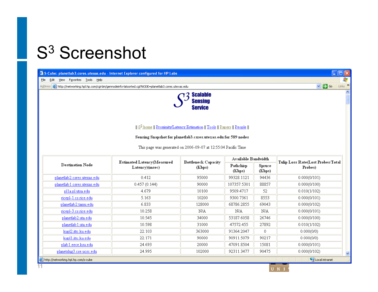#### S<sup>3</sup> Screenshot

| 2 S-Cube: planetlab3.csres.utexas.edu - Internet Explorer configured for HP Labs                                                                                                                                                                                                                              |                                              |                                      |                     |                  | $\Box$ o $\boxtimes$                         |  |
|---------------------------------------------------------------------------------------------------------------------------------------------------------------------------------------------------------------------------------------------------------------------------------------------------------------|----------------------------------------------|--------------------------------------|---------------------|------------------|----------------------------------------------|--|
| File<br>Edit<br>View Favorites Tools Help                                                                                                                                                                                                                                                                     |                                              |                                      |                     |                  | $Links$ <sup>&gt;</sup>                      |  |
| $\vee$ $\rightarrow$ Go<br>Address <b>&amp;</b> http://networking.hpl.hp.com/cgi-bin/gennodeinfo-latsorted.cgi?NODE=planetlab3.csres.utexas.edu                                                                                                                                                               |                                              |                                      |                     |                  |                                              |  |
| $\overline{\phantom{a}}$<br><b>Scalable</b><br><b>Sensing</b><br><b>Service</b><br>   S <sup>3</sup> home    Proximity/Latency Estimation    Tools    Papers    People   <br>Sensing Snapshot for planetlab3.csres.utexas.edu for 589 nodes<br>This page was generated on 2006-09-07 at 12:55:04 Pacific Time |                                              |                                      |                     |                  |                                              |  |
|                                                                                                                                                                                                                                                                                                               | Estimated Latency(Measured<br>Latency)(msec) | <b>Bottleneck Capacity</b><br>(Kbps) | Available Bandwidth |                  |                                              |  |
| <b>Destination Node</b>                                                                                                                                                                                                                                                                                       |                                              |                                      | Pathchirp<br>(Kbps) | Spruce<br>(Kbps) | Tulip Loss Rate(Lost Probes/Total<br>Probes) |  |
| planetlab2.csres.utexas.edu                                                                                                                                                                                                                                                                                   | 0.412                                        | 95000                                | 99328.1121          | 94436            | 0.000(0/101)                                 |  |
| planetlab 1.csres.utexas.edu                                                                                                                                                                                                                                                                                  | 0.457(0.144)                                 | 90000                                | 107357.5301         | 88857            | 0.000(0/100)                                 |  |
| plla.pl.utsa.edu                                                                                                                                                                                                                                                                                              | 4.679                                        | 10100                                | 9509.4717           | 52               | 0.010(1/102)                                 |  |
| ricepl-1.cs.rice.edu                                                                                                                                                                                                                                                                                          | 5.163                                        | 10200                                | 9300.7361           | 8553             | 0.000(0/101)                                 |  |
| planetlab2.tamu.edu                                                                                                                                                                                                                                                                                           | 6.833                                        | 128000                               | 68786.2855          | 69043            | 0.000(0/102)                                 |  |
| ricepl-3.cs.rice.edu                                                                                                                                                                                                                                                                                          | 10.258                                       | N/A                                  | N/A                 | N/A              | 0.000(0/101)                                 |  |
| planetlab2.uta.edu                                                                                                                                                                                                                                                                                            | 10.545                                       | 34000                                | 53187.6058          | 26746            | 0.000(0/100)                                 |  |
| planetlab 1.uta.edu                                                                                                                                                                                                                                                                                           | 10.598                                       | 31000                                | 47572.455           | 27892            | 0.010(1/102)                                 |  |
| kupl2.ittc.ku.edu                                                                                                                                                                                                                                                                                             | 22.103                                       | 363000                               | 91364.2047          | 0                | 0.000(0/0)                                   |  |
| kupl1.ittc.ku.edu                                                                                                                                                                                                                                                                                             | 22.171                                       | 90000                                | 90911.5079          | 90217            | 0.000(0/0)                                   |  |
| plab 1.eece.ksu.edu                                                                                                                                                                                                                                                                                           | 24.693                                       | 20000                                | 47091.8504          | 15081            | 0.000(0/101)                                 |  |
| planetslug3.cse.ucsc.edu                                                                                                                                                                                                                                                                                      | 24.995                                       | 102000                               | 92311.3477          | 90475            | 0.000(0/102)<br>×                            |  |
| http://networking.hpl.hp.com/s-cube                                                                                                                                                                                                                                                                           |                                              |                                      |                     |                  | Local intranet                               |  |

UNI